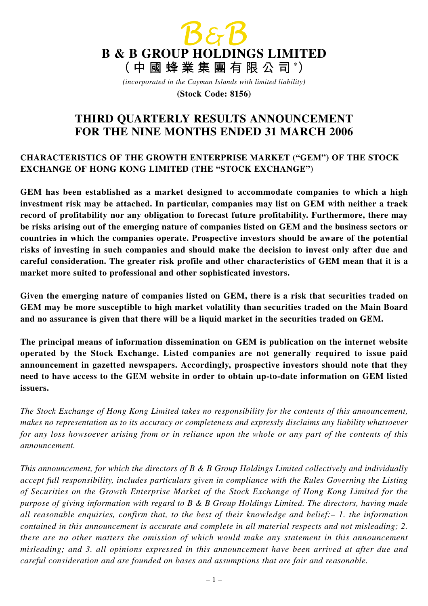

*(incorporated in the Cayman Islands with limited liability)*

**(Stock Code: 8156)**

# **THIRD QUARTERLY RESULTS ANNOUNCEMENT FOR THE NINE MONTHS ENDED 31 MARCH 2006**

### **CHARACTERISTICS OF THE GROWTH ENTERPRISE MARKET ("GEM") OF THE STOCK EXCHANGE OF HONG KONG LIMITED (THE "STOCK EXCHANGE")**

**GEM has been established as a market designed to accommodate companies to which a high investment risk may be attached. In particular, companies may list on GEM with neither a track record of profitability nor any obligation to forecast future profitability. Furthermore, there may be risks arising out of the emerging nature of companies listed on GEM and the business sectors or countries in which the companies operate. Prospective investors should be aware of the potential risks of investing in such companies and should make the decision to invest only after due and careful consideration. The greater risk profile and other characteristics of GEM mean that it is a market more suited to professional and other sophisticated investors.**

**Given the emerging nature of companies listed on GEM, there is a risk that securities traded on GEM may be more susceptible to high market volatility than securities traded on the Main Board and no assurance is given that there will be a liquid market in the securities traded on GEM.**

**The principal means of information dissemination on GEM is publication on the internet website operated by the Stock Exchange. Listed companies are not generally required to issue paid announcement in gazetted newspapers. Accordingly, prospective investors should note that they need to have access to the GEM website in order to obtain up-to-date information on GEM listed issuers.**

*The Stock Exchange of Hong Kong Limited takes no responsibility for the contents of this announcement, makes no representation as to its accuracy or completeness and expressly disclaims any liability whatsoever for any loss howsoever arising from or in reliance upon the whole or any part of the contents of this announcement.*

*This announcement, for which the directors of B & B Group Holdings Limited collectively and individually accept full responsibility, includes particulars given in compliance with the Rules Governing the Listing of Securities on the Growth Enterprise Market of the Stock Exchange of Hong Kong Limited for the purpose of giving information with regard to B & B Group Holdings Limited. The directors, having made all reasonable enquiries, confirm that, to the best of their knowledge and belief:– 1. the information contained in this announcement is accurate and complete in all material respects and not misleading; 2. there are no other matters the omission of which would make any statement in this announcement misleading; and 3. all opinions expressed in this announcement have been arrived at after due and careful consideration and are founded on bases and assumptions that are fair and reasonable.*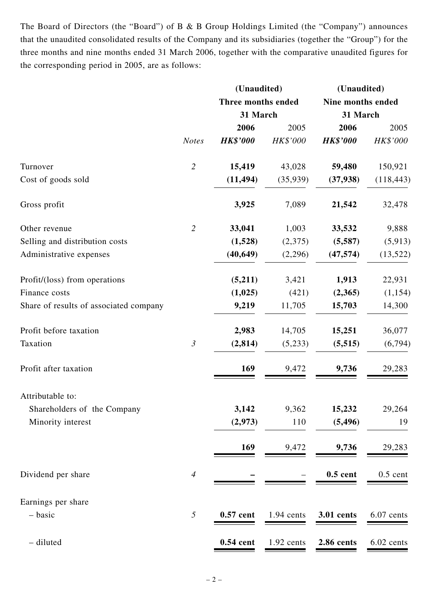The Board of Directors (the "Board") of B & B Group Holdings Limited (the "Company") announces that the unaudited consolidated results of the Company and its subsidiaries (together the "Group") for the three months and nine months ended 31 March 2006, together with the comparative unaudited figures for the corresponding period in 2005, are as follows:

|                | (Unaudited)     |            | (Unaudited)        |                   |  |
|----------------|-----------------|------------|--------------------|-------------------|--|
|                |                 |            |                    |                   |  |
|                | 31 March        |            | 31 March           |                   |  |
|                | 2006            | 2005       | 2006               | 2005              |  |
| <b>Notes</b>   | <b>HK\$'000</b> | HK\$'000   | <b>HK\$'000</b>    | HK\$'000          |  |
| $\overline{2}$ | 15,419          | 43,028     | 59,480             | 150,921           |  |
|                | (11, 494)       | (35,939)   | (37, 938)          | (118, 443)        |  |
|                | 3,925           | 7,089      | 21,542             | 32,478            |  |
| $\overline{2}$ | 33,041          | 1,003      | 33,532             | 9,888             |  |
|                | (1,528)         | (2,375)    | (5,587)            | (5, 913)          |  |
|                | (40, 649)       | (2,296)    | (47, 574)          | (13, 522)         |  |
|                | (5,211)         | 3,421      | 1,913              | 22,931            |  |
|                | (1,025)         | (421)      | (2,365)            | (1, 154)          |  |
|                | 9,219           | 11,705     | 15,703             | 14,300            |  |
|                | 2,983           | 14,705     | 15,251             | 36,077            |  |
| $\mathfrak{Z}$ | (2, 814)        | (5,233)    | (5, 515)           | (6,794)           |  |
|                | 169             | 9,472      | 9,736              | 29,283            |  |
|                |                 |            |                    |                   |  |
|                | 3,142           | 9,362      | 15,232             | 29,264            |  |
|                | (2,973)         | 110        | (5, 496)           | 19                |  |
|                | 169             | 9,472      | 9,736              | 29,283            |  |
| $\overline{4}$ |                 |            | $0.5$ cent         | $0.5$ cent        |  |
|                |                 |            |                    |                   |  |
| 5              | 0.57 cent       | 1.94 cents | 3.01 cents         | 6.07 cents        |  |
|                | $0.54$ cent     | 1.92 cents | 2.86 cents         | 6.02 cents        |  |
|                |                 |            | Three months ended | Nine months ended |  |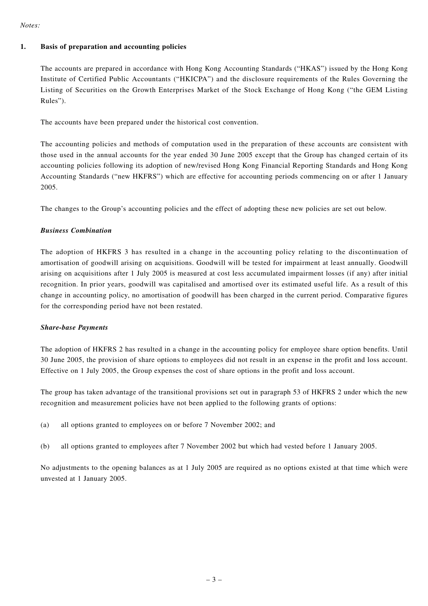#### *Notes:*

#### **1. Basis of preparation and accounting policies**

The accounts are prepared in accordance with Hong Kong Accounting Standards ("HKAS") issued by the Hong Kong Institute of Certified Public Accountants ("HKICPA") and the disclosure requirements of the Rules Governing the Listing of Securities on the Growth Enterprises Market of the Stock Exchange of Hong Kong ("the GEM Listing Rules").

The accounts have been prepared under the historical cost convention.

The accounting policies and methods of computation used in the preparation of these accounts are consistent with those used in the annual accounts for the year ended 30 June 2005 except that the Group has changed certain of its accounting policies following its adoption of new/revised Hong Kong Financial Reporting Standards and Hong Kong Accounting Standards ("new HKFRS") which are effective for accounting periods commencing on or after 1 January 2005.

The changes to the Group's accounting policies and the effect of adopting these new policies are set out below.

### *Business Combination*

The adoption of HKFRS 3 has resulted in a change in the accounting policy relating to the discontinuation of amortisation of goodwill arising on acquisitions. Goodwill will be tested for impairment at least annually. Goodwill arising on acquisitions after 1 July 2005 is measured at cost less accumulated impairment losses (if any) after initial recognition. In prior years, goodwill was capitalised and amortised over its estimated useful life. As a result of this change in accounting policy, no amortisation of goodwill has been charged in the current period. Comparative figures for the corresponding period have not been restated.

#### *Share-base Payments*

The adoption of HKFRS 2 has resulted in a change in the accounting policy for employee share option benefits. Until 30 June 2005, the provision of share options to employees did not result in an expense in the profit and loss account. Effective on 1 July 2005, the Group expenses the cost of share options in the profit and loss account.

The group has taken advantage of the transitional provisions set out in paragraph 53 of HKFRS 2 under which the new recognition and measurement policies have not been applied to the following grants of options:

- (a) all options granted to employees on or before 7 November 2002; and
- (b) all options granted to employees after 7 November 2002 but which had vested before 1 January 2005.

No adjustments to the opening balances as at 1 July 2005 are required as no options existed at that time which were unvested at 1 January 2005.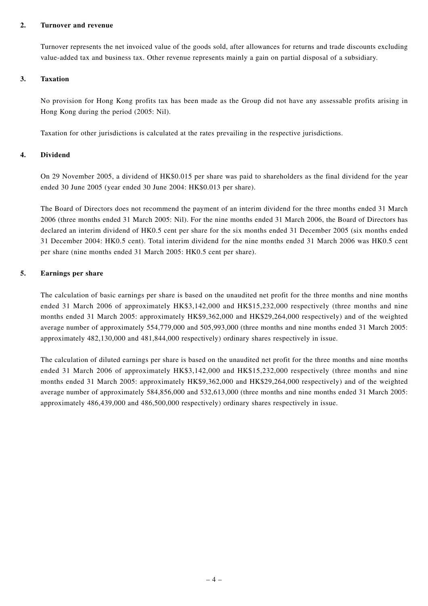#### **2. Turnover and revenue**

Turnover represents the net invoiced value of the goods sold, after allowances for returns and trade discounts excluding value-added tax and business tax. Other revenue represents mainly a gain on partial disposal of a subsidiary.

#### **3. Taxation**

No provision for Hong Kong profits tax has been made as the Group did not have any assessable profits arising in Hong Kong during the period (2005: Nil).

Taxation for other jurisdictions is calculated at the rates prevailing in the respective jurisdictions.

### **4. Dividend**

On 29 November 2005, a dividend of HK\$0.015 per share was paid to shareholders as the final dividend for the year ended 30 June 2005 (year ended 30 June 2004: HK\$0.013 per share).

The Board of Directors does not recommend the payment of an interim dividend for the three months ended 31 March 2006 (three months ended 31 March 2005: Nil). For the nine months ended 31 March 2006, the Board of Directors has declared an interim dividend of HK0.5 cent per share for the six months ended 31 December 2005 (six months ended 31 December 2004: HK0.5 cent). Total interim dividend for the nine months ended 31 March 2006 was HK0.5 cent per share (nine months ended 31 March 2005: HK0.5 cent per share).

### **5. Earnings per share**

The calculation of basic earnings per share is based on the unaudited net profit for the three months and nine months ended 31 March 2006 of approximately HK\$3,142,000 and HK\$15,232,000 respectively (three months and nine months ended 31 March 2005: approximately HK\$9,362,000 and HK\$29,264,000 respectively) and of the weighted average number of approximately 554,779,000 and 505,993,000 (three months and nine months ended 31 March 2005: approximately 482,130,000 and 481,844,000 respectively) ordinary shares respectively in issue.

The calculation of diluted earnings per share is based on the unaudited net profit for the three months and nine months ended 31 March 2006 of approximately HK\$3,142,000 and HK\$15,232,000 respectively (three months and nine months ended 31 March 2005: approximately HK\$9,362,000 and HK\$29,264,000 respectively) and of the weighted average number of approximately 584,856,000 and 532,613,000 (three months and nine months ended 31 March 2005: approximately 486,439,000 and 486,500,000 respectively) ordinary shares respectively in issue.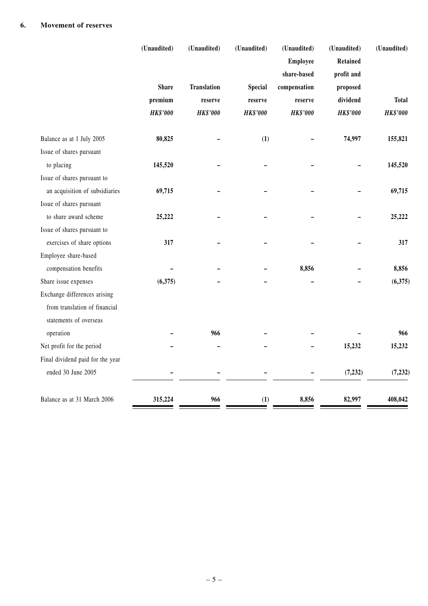|                                  | (Unaudited)     | (Unaudited)        | (Unaudited)     | (Unaudited)     | (Unaudited)     | (Unaudited)     |
|----------------------------------|-----------------|--------------------|-----------------|-----------------|-----------------|-----------------|
|                                  |                 |                    |                 | <b>Employee</b> | <b>Retained</b> |                 |
|                                  |                 |                    |                 | share-based     | profit and      |                 |
|                                  | <b>Share</b>    | <b>Translation</b> | <b>Special</b>  | compensation    | proposed        |                 |
|                                  | premium         | reserve            | reserve         | reserve         | dividend        | <b>Total</b>    |
|                                  | <b>HK\$'000</b> | <b>HK\$'000</b>    | <b>HK\$'000</b> | <b>HK\$'000</b> | <b>HK\$'000</b> | <b>HK\$'000</b> |
| Balance as at 1 July 2005        | 80,825          |                    | (1)             |                 | 74,997          | 155,821         |
| Issue of shares pursuant         |                 |                    |                 |                 |                 |                 |
| to placing                       | 145,520         |                    |                 |                 |                 | 145,520         |
| Issue of shares pursuant to      |                 |                    |                 |                 |                 |                 |
| an acquisition of subsidiaries   | 69,715          |                    |                 |                 |                 | 69,715          |
| Issue of shares pursuant         |                 |                    |                 |                 |                 |                 |
| to share award scheme            | 25,222          |                    |                 |                 |                 | 25,222          |
| Issue of shares pursuant to      |                 |                    |                 |                 |                 |                 |
| exercises of share options       | 317             |                    |                 |                 |                 | 317             |
| Employee share-based             |                 |                    |                 |                 |                 |                 |
| compensation benefits            |                 |                    |                 | 8,856           |                 | 8,856           |
| Share issue expenses             | (6,375)         |                    |                 |                 |                 | (6,375)         |
| Exchange differences arising     |                 |                    |                 |                 |                 |                 |
| from translation of financial    |                 |                    |                 |                 |                 |                 |
| statements of overseas           |                 |                    |                 |                 |                 |                 |
| operation                        |                 | 966                |                 |                 |                 | 966             |
| Net profit for the period        |                 |                    |                 |                 | 15,232          | 15,232          |
| Final dividend paid for the year |                 |                    |                 |                 |                 |                 |
| ended 30 June 2005               |                 |                    |                 |                 | (7, 232)        | (7, 232)        |
| Balance as at 31 March 2006      | 315,224         | 966                | (1)             | 8,856           | 82,997          | 408,042         |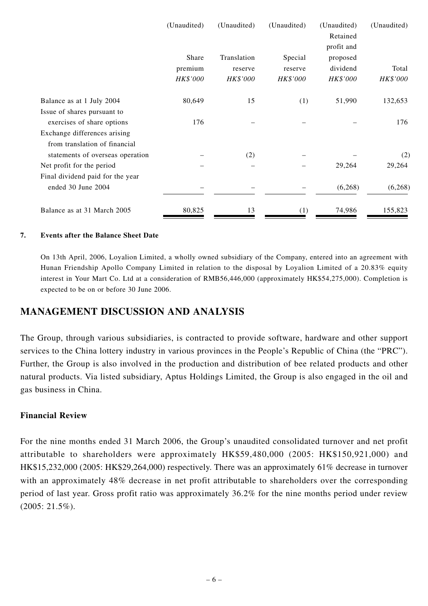|                                  | (Unaudited)         | (Unaudited)         | (Unaudited)         | (Unaudited)<br>Retained<br>profit and | (Unaudited)       |
|----------------------------------|---------------------|---------------------|---------------------|---------------------------------------|-------------------|
|                                  | Share               | Translation         | Special             | proposed                              |                   |
|                                  | premium<br>HK\$'000 | reserve<br>HK\$'000 | reserve<br>HK\$'000 | dividend<br>HK\$'000                  | Total<br>HK\$'000 |
| Balance as at 1 July 2004        | 80,649              | 15                  | (1)                 | 51,990                                | 132,653           |
| Issue of shares pursuant to      |                     |                     |                     |                                       |                   |
| exercises of share options       | 176                 |                     |                     |                                       | 176               |
| Exchange differences arising     |                     |                     |                     |                                       |                   |
| from translation of financial    |                     |                     |                     |                                       |                   |
| statements of overseas operation |                     | (2)                 |                     |                                       | (2)               |
| Net profit for the period        |                     |                     |                     | 29,264                                | 29,264            |
| Final dividend paid for the year |                     |                     |                     |                                       |                   |
| ended 30 June 2004               |                     |                     |                     | (6,268)                               | (6, 268)          |
| Balance as at 31 March 2005      | 80,825              | 13                  | (1)                 | 74,986                                | 155,823           |

### **7. Events after the Balance Sheet Date**

On 13th April, 2006, Loyalion Limited, a wholly owned subsidiary of the Company, entered into an agreement with Hunan Friendship Apollo Company Limited in relation to the disposal by Loyalion Limited of a 20.83% equity interest in Your Mart Co. Ltd at a consideration of RMB56,446,000 (approximately HK\$54,275,000). Completion is expected to be on or before 30 June 2006.

### **MANAGEMENT DISCUSSION AND ANALYSIS**

The Group, through various subsidiaries, is contracted to provide software, hardware and other support services to the China lottery industry in various provinces in the People's Republic of China (the "PRC"). Further, the Group is also involved in the production and distribution of bee related products and other natural products. Via listed subsidiary, Aptus Holdings Limited, the Group is also engaged in the oil and gas business in China.

### **Financial Review**

For the nine months ended 31 March 2006, the Group's unaudited consolidated turnover and net profit attributable to shareholders were approximately HK\$59,480,000 (2005: HK\$150,921,000) and HK\$15,232,000 (2005: HK\$29,264,000) respectively. There was an approximately 61% decrease in turnover with an approximately 48% decrease in net profit attributable to shareholders over the corresponding period of last year. Gross profit ratio was approximately 36.2% for the nine months period under review (2005: 21.5%).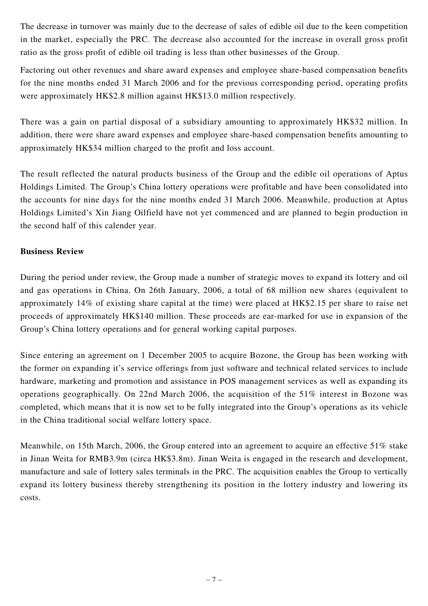The decrease in turnover was mainly due to the decrease of sales of edible oil due to the keen competition in the market, especially the PRC. The decrease also accounted for the increase in overall gross profit ratio as the gross profit of edible oil trading is less than other businesses of the Group.

Factoring out other revenues and share award expenses and employee share-based compensation benefits for the nine months ended 31 March 2006 and for the previous corresponding period, operating profits were approximately HK\$2.8 million against HK\$13.0 million respectively.

There was a gain on partial disposal of a subsidiary amounting to approximately HK\$32 million. In addition, there were share award expenses and employee share-based compensation benefits amounting to approximately HK\$34 million charged to the profit and loss account.

The result reflected the natural products business of the Group and the edible oil operations of Aptus Holdings Limited. The Group's China lottery operations were profitable and have been consolidated into the accounts for nine days for the nine months ended 31 March 2006. Meanwhile, production at Aptus Holdings Limited's Xin Jiang Oilfield have not yet commenced and are planned to begin production in the second half of this calender year.

### **Business Review**

During the period under review, the Group made a number of strategic moves to expand its lottery and oil and gas operations in China. On 26th January, 2006, a total of 68 million new shares (equivalent to approximately 14% of existing share capital at the time) were placed at HK\$2.15 per share to raise net proceeds of approximately HK\$140 million. These proceeds are ear-marked for use in expansion of the Group's China lottery operations and for general working capital purposes.

Since entering an agreement on 1 December 2005 to acquire Bozone, the Group has been working with the former on expanding it's service offerings from just software and technical related services to include hardware, marketing and promotion and assistance in POS management services as well as expanding its operations geographically. On 22nd March 2006, the acquisition of the 51% interest in Bozone was completed, which means that it is now set to be fully integrated into the Group's operations as its vehicle in the China traditional social welfare lottery space.

Meanwhile, on 15th March, 2006, the Group entered into an agreement to acquire an effective 51% stake in Jinan Weita for RMB3.9m (circa HK\$3.8m). Jinan Weita is engaged in the research and development, manufacture and sale of lottery sales terminals in the PRC. The acquisition enables the Group to vertically expand its lottery business thereby strengthening its position in the lottery industry and lowering its costs.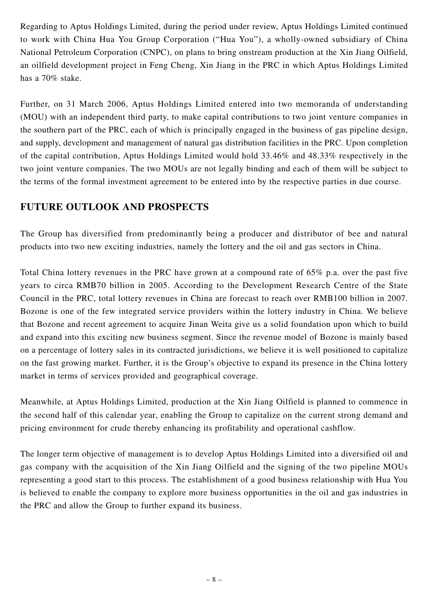Regarding to Aptus Holdings Limited, during the period under review, Aptus Holdings Limited continued to work with China Hua You Group Corporation ("Hua You"), a wholly-owned subsidiary of China National Petroleum Corporation (CNPC), on plans to bring onstream production at the Xin Jiang Oilfield, an oilfield development project in Feng Cheng, Xin Jiang in the PRC in which Aptus Holdings Limited has a 70% stake.

Further, on 31 March 2006, Aptus Holdings Limited entered into two memoranda of understanding (MOU) with an independent third party, to make capital contributions to two joint venture companies in the southern part of the PRC, each of which is principally engaged in the business of gas pipeline design, and supply, development and management of natural gas distribution facilities in the PRC. Upon completion of the capital contribution, Aptus Holdings Limited would hold 33.46% and 48.33% respectively in the two joint venture companies. The two MOUs are not legally binding and each of them will be subject to the terms of the formal investment agreement to be entered into by the respective parties in due course.

## **FUTURE OUTLOOK AND PROSPECTS**

The Group has diversified from predominantly being a producer and distributor of bee and natural products into two new exciting industries, namely the lottery and the oil and gas sectors in China.

Total China lottery revenues in the PRC have grown at a compound rate of 65% p.a. over the past five years to circa RMB70 billion in 2005. According to the Development Research Centre of the State Council in the PRC, total lottery revenues in China are forecast to reach over RMB100 billion in 2007. Bozone is one of the few integrated service providers within the lottery industry in China. We believe that Bozone and recent agreement to acquire Jinan Weita give us a solid foundation upon which to build and expand into this exciting new business segment. Since the revenue model of Bozone is mainly based on a percentage of lottery sales in its contracted jurisdictions, we believe it is well positioned to capitalize on the fast growing market. Further, it is the Group's objective to expand its presence in the China lottery market in terms of services provided and geographical coverage.

Meanwhile, at Aptus Holdings Limited, production at the Xin Jiang Oilfield is planned to commence in the second half of this calendar year, enabling the Group to capitalize on the current strong demand and pricing environment for crude thereby enhancing its profitability and operational cashflow.

The longer term objective of management is to develop Aptus Holdings Limited into a diversified oil and gas company with the acquisition of the Xin Jiang Oilfield and the signing of the two pipeline MOUs representing a good start to this process. The establishment of a good business relationship with Hua You is believed to enable the company to explore more business opportunities in the oil and gas industries in the PRC and allow the Group to further expand its business.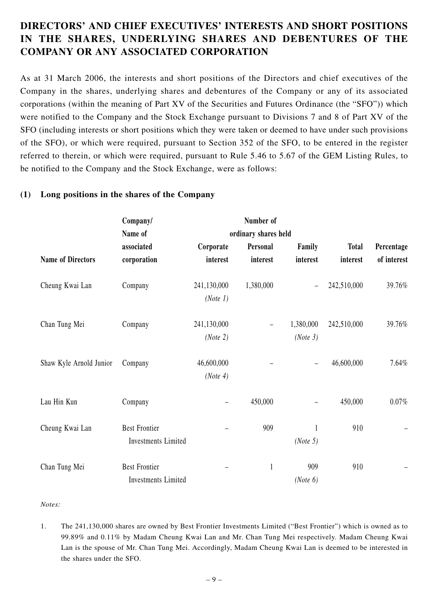# **DIRECTORS' AND CHIEF EXECUTIVES' INTERESTS AND SHORT POSITIONS IN THE SHARES, UNDERLYING SHARES AND DEBENTURES OF THE COMPANY OR ANY ASSOCIATED CORPORATION**

As at 31 March 2006, the interests and short positions of the Directors and chief executives of the Company in the shares, underlying shares and debentures of the Company or any of its associated corporations (within the meaning of Part XV of the Securities and Futures Ordinance (the "SFO")) which were notified to the Company and the Stock Exchange pursuant to Divisions 7 and 8 of Part XV of the SFO (including interests or short positions which they were taken or deemed to have under such provisions of the SFO), or which were required, pursuant to Section 352 of the SFO, to be entered in the register referred to therein, or which were required, pursuant to Rule 5.46 to 5.67 of the GEM Listing Rules, to be notified to the Company and the Stock Exchange, were as follows:

### **(1) Long positions in the shares of the Company**

|                          | Company/                   |                         | Number of            |           |              |             |
|--------------------------|----------------------------|-------------------------|----------------------|-----------|--------------|-------------|
|                          | Name of                    |                         | ordinary shares held |           |              |             |
|                          | associated                 | Corporate               | Personal             | Family    | <b>Total</b> | Percentage  |
| <b>Name of Directors</b> | corporation                | interest                | interest             | interest  | interest     | of interest |
| Cheung Kwai Lan          | Company                    | 241,130,000<br>(Note 1) | 1,380,000            |           | 242,510,000  | 39.76%      |
|                          |                            |                         |                      |           |              |             |
| Chan Tung Mei            | Company                    | 241,130,000             | -                    | 1,380,000 | 242,510,000  | 39.76%      |
|                          |                            | (Note 2)                |                      | (Note 3)  |              |             |
| Shaw Kyle Arnold Junior  | Company                    | 46,600,000              |                      |           | 46,600,000   | 7.64%       |
|                          |                            | (Note 4)                |                      |           |              |             |
| Lau Hin Kun              | Company                    |                         | 450,000              |           | 450,000      | 0.07%       |
| Cheung Kwai Lan          | <b>Best Frontier</b>       |                         | 909                  | 1         | 910          |             |
|                          | <b>Investments Limited</b> |                         |                      | (Note 5)  |              |             |
| Chan Tung Mei            | <b>Best Frontier</b>       |                         | 1                    | 909       | 910          |             |
|                          | Investments Limited        |                         |                      | (Note 6)  |              |             |

#### *Notes:*

1. The 241,130,000 shares are owned by Best Frontier Investments Limited ("Best Frontier") which is owned as to 99.89% and 0.11% by Madam Cheung Kwai Lan and Mr. Chan Tung Mei respectively. Madam Cheung Kwai Lan is the spouse of Mr. Chan Tung Mei. Accordingly, Madam Cheung Kwai Lan is deemed to be interested in the shares under the SFO.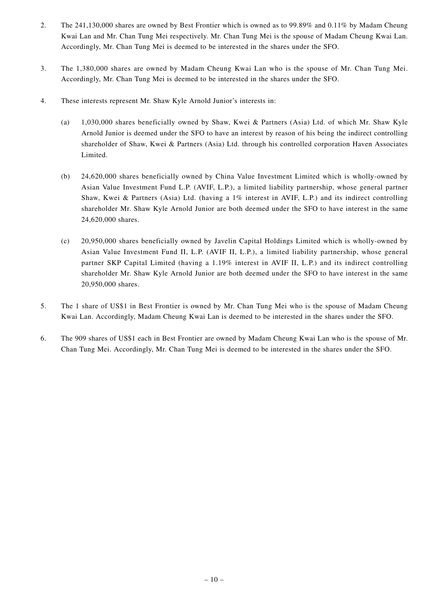- 2. The 241,130,000 shares are owned by Best Frontier which is owned as to 99.89% and 0.11% by Madam Cheung Kwai Lan and Mr. Chan Tung Mei respectively. Mr. Chan Tung Mei is the spouse of Madam Cheung Kwai Lan. Accordingly, Mr. Chan Tung Mei is deemed to be interested in the shares under the SFO.
- 3. The 1,380,000 shares are owned by Madam Cheung Kwai Lan who is the spouse of Mr. Chan Tung Mei. Accordingly, Mr. Chan Tung Mei is deemed to be interested in the shares under the SFO.
- 4. These interests represent Mr. Shaw Kyle Arnold Junior's interests in:
	- (a) 1,030,000 shares beneficially owned by Shaw, Kwei & Partners (Asia) Ltd. of which Mr. Shaw Kyle Arnold Junior is deemed under the SFO to have an interest by reason of his being the indirect controlling shareholder of Shaw, Kwei & Partners (Asia) Ltd. through his controlled corporation Haven Associates Limited.
	- (b) 24,620,000 shares beneficially owned by China Value Investment Limited which is wholly-owned by Asian Value Investment Fund L.P. (AVIF, L.P.), a limited liability partnership, whose general partner Shaw, Kwei & Partners (Asia) Ltd. (having a 1% interest in AVIF, L.P.) and its indirect controlling shareholder Mr. Shaw Kyle Arnold Junior are both deemed under the SFO to have interest in the same 24,620,000 shares.
	- (c) 20,950,000 shares beneficially owned by Javelin Capital Holdings Limited which is wholly-owned by Asian Value Investment Fund II, L.P. (AVIF II, L.P.), a limited liability partnership, whose general partner SKP Capital Limited (having a 1.19% interest in AVIF II, L.P.) and its indirect controlling shareholder Mr. Shaw Kyle Arnold Junior are both deemed under the SFO to have interest in the same 20,950,000 shares.
- 5. The 1 share of US\$1 in Best Frontier is owned by Mr. Chan Tung Mei who is the spouse of Madam Cheung Kwai Lan. Accordingly, Madam Cheung Kwai Lan is deemed to be interested in the shares under the SFO.
- 6. The 909 shares of US\$1 each in Best Frontier are owned by Madam Cheung Kwai Lan who is the spouse of Mr. Chan Tung Mei. Accordingly, Mr. Chan Tung Mei is deemed to be interested in the shares under the SFO.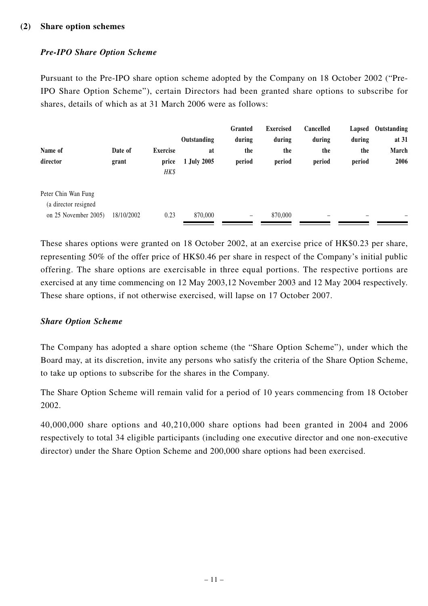### *Pre-IPO Share Option Scheme*

Pursuant to the Pre-IPO share option scheme adopted by the Company on 18 October 2002 ("Pre-IPO Share Option Scheme"), certain Directors had been granted share options to subscribe for shares, details of which as at 31 March 2006 were as follows:

|                                             |            |                 |             | Granted         | <b>Exercised</b> | Cancelled | Lapsed                   | Outstanding |
|---------------------------------------------|------------|-----------------|-------------|-----------------|------------------|-----------|--------------------------|-------------|
|                                             |            |                 | Outstanding | during          | during           | during    | during                   | at 31       |
| Name of                                     | Date of    | <b>Exercise</b> | at          | the             | the              | the       | the                      | March       |
| director                                    | grant      | price<br>HK\$   | 1 July 2005 | period          | period           | period    | period                   | 2006        |
| Peter Chin Wan Fung<br>(a director resigned |            |                 |             |                 |                  |           |                          |             |
| on 25 November 2005)                        | 18/10/2002 | 0.23            | 870,000     | $\qquad \qquad$ | 870,000          | -         | $\overline{\phantom{0}}$ |             |

These shares options were granted on 18 October 2002, at an exercise price of HK\$0.23 per share, representing 50% of the offer price of HK\$0.46 per share in respect of the Company's initial public offering. The share options are exercisable in three equal portions. The respective portions are exercised at any time commencing on 12 May 2003,12 November 2003 and 12 May 2004 respectively. These share options, if not otherwise exercised, will lapse on 17 October 2007.

### *Share Option Scheme*

The Company has adopted a share option scheme (the "Share Option Scheme"), under which the Board may, at its discretion, invite any persons who satisfy the criteria of the Share Option Scheme, to take up options to subscribe for the shares in the Company.

The Share Option Scheme will remain valid for a period of 10 years commencing from 18 October 2002.

40,000,000 share options and 40,210,000 share options had been granted in 2004 and 2006 respectively to total 34 eligible participants (including one executive director and one non-executive director) under the Share Option Scheme and 200,000 share options had been exercised.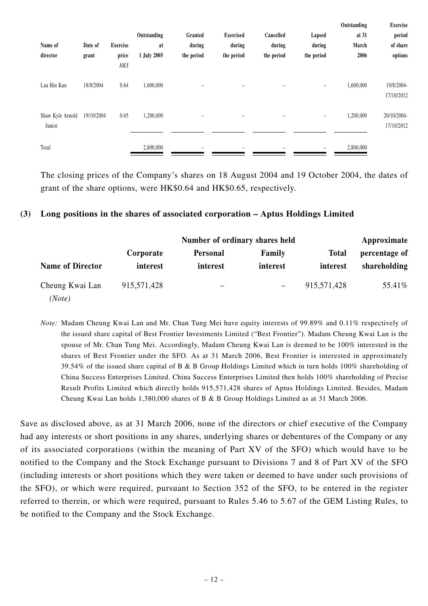| Name of<br>director        | Date of<br>grant | Exercise<br>price<br>HK\$ | Outstanding<br>at<br>1 July 2005 | Granted<br>during<br>the period | <b>Exercised</b><br>during<br>the period | Cancelled<br>during<br>the period | Lapsed<br>during<br>the period | <b>Outstanding</b><br>at 31<br>March<br>2006 | Exercise<br>period<br>of share<br>options |
|----------------------------|------------------|---------------------------|----------------------------------|---------------------------------|------------------------------------------|-----------------------------------|--------------------------------|----------------------------------------------|-------------------------------------------|
| Lau Hin Kun                | 18/8/2004        | 0.64                      | 1,600,000                        | $\overline{\phantom{0}}$        | $-$                                      | -                                 | $\overline{\phantom{m}}$       | 1,600,000                                    | 19/8/2004-<br>17/10/2012                  |
| Shaw Kyle Arnold<br>Junior | 19/10/2004       | 0.65                      | 1,200,000                        |                                 |                                          |                                   | $\qquad \qquad -$              | 1,200,000                                    | 20/10/2004-<br>17/10/2012                 |
| Total                      |                  |                           | 2,800,000                        |                                 |                                          |                                   |                                | 2,800,000                                    |                                           |

The closing prices of the Company's shares on 18 August 2004 and 19 October 2004, the dates of grant of the share options, were HK\$0.64 and HK\$0.65, respectively.

### **(3) Long positions in the shares of associated corporation – Aptus Holdings Limited**

|                           |                       | Approximate                 |                    |                          |                               |
|---------------------------|-----------------------|-----------------------------|--------------------|--------------------------|-------------------------------|
| <b>Name of Director</b>   | Corporate<br>interest | <b>Personal</b><br>interest | Family<br>interest | <b>Total</b><br>interest | percentage of<br>shareholding |
| Cheung Kwai Lan<br>(Note) | 915,571,428           |                             | $\qquad \qquad -$  | 915,571,428              | 55.41%                        |

*Note:* Madam Cheung Kwai Lan and Mr. Chan Tung Mei have equity interests of 99.89% and 0.11% respectively of the issued share capital of Best Frontier Investments Limited ("Best Frontier"). Madam Cheung Kwai Lan is the spouse of Mr. Chan Tung Mei. Accordingly, Madam Cheung Kwai Lan is deemed to be 100% interested in the shares of Best Frontier under the SFO. As at 31 March 2006, Best Frontier is interested in approximately 39.54% of the issued share capital of B & B Group Holdings Limited which in turn holds 100% shareholding of China Success Enterprises Limited. China Success Enterprises Limited then holds 100% shareholding of Precise Result Profits Limited which directly holds 915,571,428 shares of Aptus Holdings Limited. Besides, Madam Cheung Kwai Lan holds 1,380,000 shares of B & B Group Holdings Limited as at 31 March 2006.

Save as disclosed above, as at 31 March 2006, none of the directors or chief executive of the Company had any interests or short positions in any shares, underlying shares or debentures of the Company or any of its associated corporations (within the meaning of Part XV of the SFO) which would have to be notified to the Company and the Stock Exchange pursuant to Divisions 7 and 8 of Part XV of the SFO (including interests or short positions which they were taken or deemed to have under such provisions of the SFO), or which were required, pursuant to Section 352 of the SFO, to be entered in the register referred to therein, or which were required, pursuant to Rules 5.46 to 5.67 of the GEM Listing Rules, to be notified to the Company and the Stock Exchange.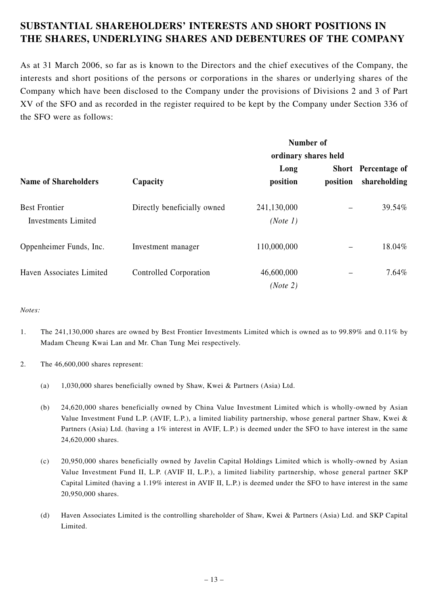# **SUBSTANTIAL SHAREHOLDERS' INTERESTS AND SHORT POSITIONS IN THE SHARES, UNDERLYING SHARES AND DEBENTURES OF THE COMPANY**

As at 31 March 2006, so far as is known to the Directors and the chief executives of the Company, the interests and short positions of the persons or corporations in the shares or underlying shares of the Company which have been disclosed to the Company under the provisions of Divisions 2 and 3 of Part XV of the SFO and as recorded in the register required to be kept by the Company under Section 336 of the SFO were as follows:

|                             |                             |                      | Number of |                     |  |
|-----------------------------|-----------------------------|----------------------|-----------|---------------------|--|
|                             |                             | ordinary shares held |           |                     |  |
|                             |                             | Long                 |           | Short Percentage of |  |
| <b>Name of Shareholders</b> | Capacity                    | position             | position  | shareholding        |  |
| <b>Best Frontier</b>        | Directly beneficially owned | 241,130,000          |           | 39.54%              |  |
| <b>Investments Limited</b>  |                             | (Note 1)             |           |                     |  |
| Oppenheimer Funds, Inc.     | Investment manager          | 110,000,000          |           | 18.04%              |  |
| Haven Associates Limited    | Controlled Corporation      | 46,600,000           |           | 7.64%               |  |
|                             |                             | (Note 2)             |           |                     |  |

#### *Notes:*

- 1. The 241,130,000 shares are owned by Best Frontier Investments Limited which is owned as to 99.89% and 0.11% by Madam Cheung Kwai Lan and Mr. Chan Tung Mei respectively.
- 2. The 46,600,000 shares represent:
	- (a) 1,030,000 shares beneficially owned by Shaw, Kwei & Partners (Asia) Ltd.
	- (b) 24,620,000 shares beneficially owned by China Value Investment Limited which is wholly-owned by Asian Value Investment Fund L.P. (AVIF, L.P.), a limited liability partnership, whose general partner Shaw, Kwei & Partners (Asia) Ltd. (having a 1% interest in AVIF, L.P.) is deemed under the SFO to have interest in the same 24,620,000 shares.
	- (c) 20,950,000 shares beneficially owned by Javelin Capital Holdings Limited which is wholly-owned by Asian Value Investment Fund II, L.P. (AVIF II, L.P.), a limited liability partnership, whose general partner SKP Capital Limited (having a 1.19% interest in AVIF II, L.P.) is deemed under the SFO to have interest in the same 20,950,000 shares.
	- (d) Haven Associates Limited is the controlling shareholder of Shaw, Kwei & Partners (Asia) Ltd. and SKP Capital Limited.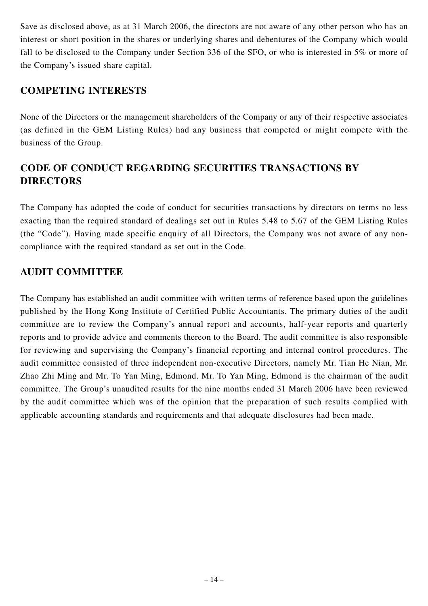Save as disclosed above, as at 31 March 2006, the directors are not aware of any other person who has an interest or short position in the shares or underlying shares and debentures of the Company which would fall to be disclosed to the Company under Section 336 of the SFO, or who is interested in 5% or more of the Company's issued share capital.

## **COMPETING INTERESTS**

None of the Directors or the management shareholders of the Company or any of their respective associates (as defined in the GEM Listing Rules) had any business that competed or might compete with the business of the Group.

# **CODE OF CONDUCT REGARDING SECURITIES TRANSACTIONS BY DIRECTORS**

The Company has adopted the code of conduct for securities transactions by directors on terms no less exacting than the required standard of dealings set out in Rules 5.48 to 5.67 of the GEM Listing Rules (the "Code"). Having made specific enquiry of all Directors, the Company was not aware of any noncompliance with the required standard as set out in the Code.

## **AUDIT COMMITTEE**

The Company has established an audit committee with written terms of reference based upon the guidelines published by the Hong Kong Institute of Certified Public Accountants. The primary duties of the audit committee are to review the Company's annual report and accounts, half-year reports and quarterly reports and to provide advice and comments thereon to the Board. The audit committee is also responsible for reviewing and supervising the Company's financial reporting and internal control procedures. The audit committee consisted of three independent non-executive Directors, namely Mr. Tian He Nian, Mr. Zhao Zhi Ming and Mr. To Yan Ming, Edmond. Mr. To Yan Ming, Edmond is the chairman of the audit committee. The Group's unaudited results for the nine months ended 31 March 2006 have been reviewed by the audit committee which was of the opinion that the preparation of such results complied with applicable accounting standards and requirements and that adequate disclosures had been made.